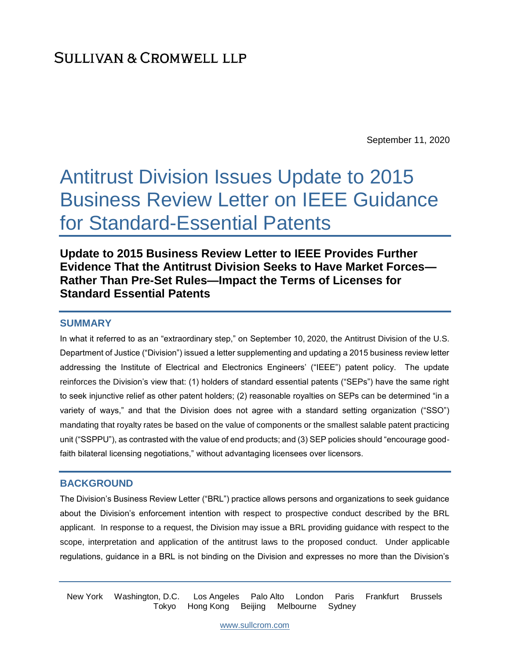September 11, 2020

# Antitrust Division Issues Update to 2015 Business Review Letter on IEEE Guidance for Standard-Essential Patents

# **Update to 2015 Business Review Letter to IEEE Provides Further Evidence That the Antitrust Division Seeks to Have Market Forces— Rather Than Pre-Set Rules—Impact the Terms of Licenses for Standard Essential Patents**

### **SUMMARY**

In what it referred to as an "extraordinary step," on September 10, 2020, the Antitrust Division of the U.S. Department of Justice ("Division") issued a letter supplementing and updating a 2015 business review letter addressing the Institute of Electrical and Electronics Engineers' ("IEEE") patent policy. The update reinforces the Division's view that: (1) holders of standard essential patents ("SEPs") have the same right to seek injunctive relief as other patent holders; (2) reasonable royalties on SEPs can be determined "in a variety of ways," and that the Division does not agree with a standard setting organization ("SSO") mandating that royalty rates be based on the value of components or the smallest salable patent practicing unit ("SSPPU"), as contrasted with the value of end products; and (3) SEP policies should "encourage goodfaith bilateral licensing negotiations," without advantaging licensees over licensors.

## **BACKGROUND**

The Division's Business Review Letter ("BRL") practice allows persons and organizations to seek guidance about the Division's enforcement intention with respect to prospective conduct described by the BRL applicant. In response to a request, the Division may issue a BRL providing guidance with respect to the scope, interpretation and application of the antitrust laws to the proposed conduct. Under applicable regulations, guidance in a BRL is not binding on the Division and expresses no more than the Division's

New York Washington, D.C. Los Angeles Palo Alto London Paris Frankfurt Brussels Tokyo Hong Kong Beijing Melbourne Sydney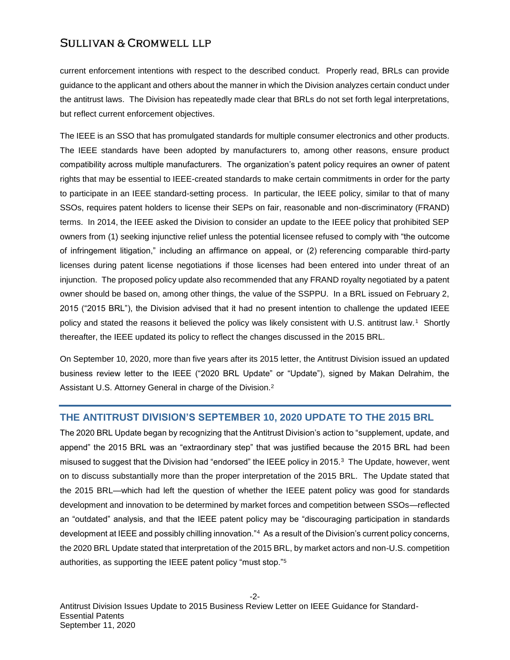current enforcement intentions with respect to the described conduct. Properly read, BRLs can provide guidance to the applicant and others about the manner in which the Division analyzes certain conduct under the antitrust laws. The Division has repeatedly made clear that BRLs do not set forth legal interpretations, but reflect current enforcement objectives.

The IEEE is an SSO that has promulgated standards for multiple consumer electronics and other products. The IEEE standards have been adopted by manufacturers to, among other reasons, ensure product compatibility across multiple manufacturers. The organization's patent policy requires an owner of patent rights that may be essential to IEEE-created standards to make certain commitments in order for the party to participate in an IEEE standard-setting process. In particular, the IEEE policy, similar to that of many SSOs, requires patent holders to license their SEPs on fair, reasonable and non-discriminatory (FRAND) terms. In 2014, the IEEE asked the Division to consider an update to the IEEE policy that prohibited SEP owners from (1) seeking injunctive relief unless the potential licensee refused to comply with "the outcome of infringement litigation," including an affirmance on appeal, or (2) referencing comparable third-party licenses during patent license negotiations if those licenses had been entered into under threat of an injunction. The proposed policy update also recommended that any FRAND royalty negotiated by a patent owner should be based on, among other things, the value of the SSPPU. In a BRL issued on February 2, 2015 ("2015 BRL"), the Division advised that it had no present intention to challenge the updated IEEE policy and stated the reasons it believed the policy was likely consistent with U.S. antitrust law.<sup>1</sup> Shortly thereafter, the IEEE updated its policy to reflect the changes discussed in the 2015 BRL.

On September 10, 2020, more than five years after its 2015 letter, the Antitrust Division issued an updated business review letter to the IEEE ("2020 BRL Update" or "Update"), signed by Makan Delrahim, the Assistant U.S. Attorney General in charge of the Division.<sup>2</sup>

## **THE ANTITRUST DIVISION'S SEPTEMBER 10, 2020 UPDATE TO THE 2015 BRL**

The 2020 BRL Update began by recognizing that the Antitrust Division's action to "supplement, update, and append" the 2015 BRL was an "extraordinary step" that was justified because the 2015 BRL had been misused to suggest that the Division had "endorsed" the IEEE policy in 2015.<sup>3</sup> The Update, however, went on to discuss substantially more than the proper interpretation of the 2015 BRL. The Update stated that the 2015 BRL—which had left the question of whether the IEEE patent policy was good for standards development and innovation to be determined by market forces and competition between SSOs—reflected an "outdated" analysis, and that the IEEE patent policy may be "discouraging participation in standards development at IEEE and possibly chilling innovation."<sup>4</sup> As a result of the Division's current policy concerns, the 2020 BRL Update stated that interpretation of the 2015 BRL, by market actors and non-U.S. competition authorities, as supporting the IEEE patent policy "must stop."5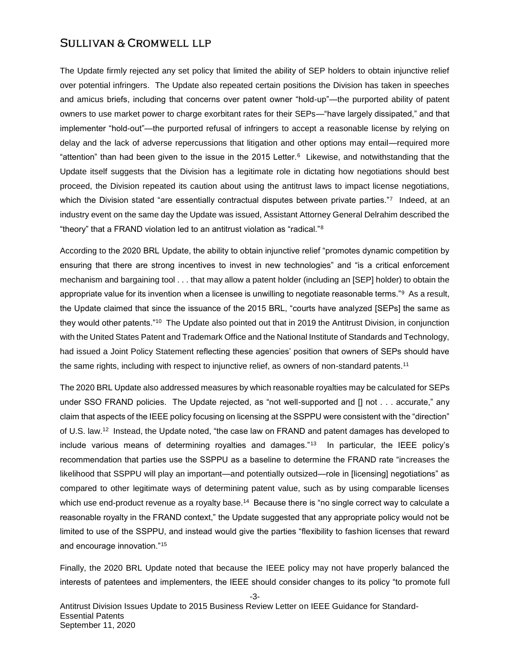The Update firmly rejected any set policy that limited the ability of SEP holders to obtain injunctive relief over potential infringers. The Update also repeated certain positions the Division has taken in speeches and amicus briefs, including that concerns over patent owner "hold-up"—the purported ability of patent owners to use market power to charge exorbitant rates for their SEPs—"have largely dissipated," and that implementer "hold-out"—the purported refusal of infringers to accept a reasonable license by relying on delay and the lack of adverse repercussions that litigation and other options may entail—required more "attention" than had been given to the issue in the 2015 Letter.<sup>6</sup> Likewise, and notwithstanding that the Update itself suggests that the Division has a legitimate role in dictating how negotiations should best proceed, the Division repeated its caution about using the antitrust laws to impact license negotiations, which the Division stated "are essentially contractual disputes between private parties."<sup>7</sup> Indeed, at an industry event on the same day the Update was issued, Assistant Attorney General Delrahim described the "theory" that a FRAND violation led to an antitrust violation as "radical."<sup>8</sup>

According to the 2020 BRL Update, the ability to obtain injunctive relief "promotes dynamic competition by ensuring that there are strong incentives to invest in new technologies" and "is a critical enforcement mechanism and bargaining tool . . . that may allow a patent holder (including an [SEP] holder) to obtain the appropriate value for its invention when a licensee is unwilling to negotiate reasonable terms."<sup>9</sup> As a result, the Update claimed that since the issuance of the 2015 BRL, "courts have analyzed [SEPs] the same as they would other patents."<sup>10</sup> The Update also pointed out that in 2019 the Antitrust Division, in conjunction with the United States Patent and Trademark Office and the National Institute of Standards and Technology, had issued a Joint Policy Statement reflecting these agencies' position that owners of SEPs should have the same rights, including with respect to injunctive relief, as owners of non-standard patents.<sup>11</sup>

The 2020 BRL Update also addressed measures by which reasonable royalties may be calculated for SEPs under SSO FRAND policies. The Update rejected, as "not well-supported and [] not . . . accurate," any claim that aspects of the IEEE policy focusing on licensing at the SSPPU were consistent with the "direction" of U.S. law.<sup>12</sup> Instead, the Update noted, "the case law on FRAND and patent damages has developed to include various means of determining royalties and damages."<sup>13</sup> In particular, the IEEE policy's recommendation that parties use the SSPPU as a baseline to determine the FRAND rate "increases the likelihood that SSPPU will play an important—and potentially outsized—role in [licensing] negotiations" as compared to other legitimate ways of determining patent value, such as by using comparable licenses which use end-product revenue as a royalty base.<sup>14</sup> Because there is "no single correct way to calculate a reasonable royalty in the FRAND context," the Update suggested that any appropriate policy would not be limited to use of the SSPPU, and instead would give the parties "flexibility to fashion licenses that reward and encourage innovation."<sup>15</sup>

Finally, the 2020 BRL Update noted that because the IEEE policy may not have properly balanced the interests of patentees and implementers, the IEEE should consider changes to its policy "to promote full

-3-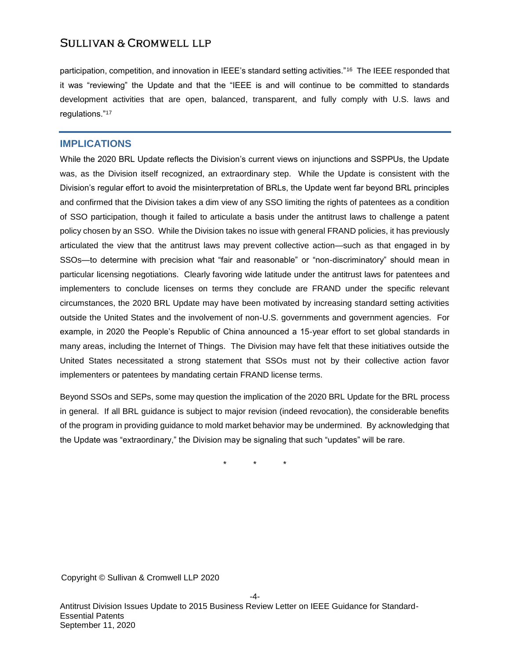participation, competition, and innovation in IEEE's standard setting activities."<sup>16</sup> The IEEE responded that it was "reviewing" the Update and that the "IEEE is and will continue to be committed to standards development activities that are open, balanced, transparent, and fully comply with U.S. laws and regulations."<sup>17</sup>

#### **IMPLICATIONS**

While the 2020 BRL Update reflects the Division's current views on injunctions and SSPPUs, the Update was, as the Division itself recognized, an extraordinary step. While the Update is consistent with the Division's regular effort to avoid the misinterpretation of BRLs, the Update went far beyond BRL principles and confirmed that the Division takes a dim view of any SSO limiting the rights of patentees as a condition of SSO participation, though it failed to articulate a basis under the antitrust laws to challenge a patent policy chosen by an SSO. While the Division takes no issue with general FRAND policies, it has previously articulated the view that the antitrust laws may prevent collective action—such as that engaged in by SSOs—to determine with precision what "fair and reasonable" or "non-discriminatory" should mean in particular licensing negotiations. Clearly favoring wide latitude under the antitrust laws for patentees and implementers to conclude licenses on terms they conclude are FRAND under the specific relevant circumstances, the 2020 BRL Update may have been motivated by increasing standard setting activities outside the United States and the involvement of non-U.S. governments and government agencies. For example, in 2020 the People's Republic of China announced a 15-year effort to set global standards in many areas, including the Internet of Things. The Division may have felt that these initiatives outside the United States necessitated a strong statement that SSOs must not by their collective action favor implementers or patentees by mandating certain FRAND license terms.

Beyond SSOs and SEPs, some may question the implication of the 2020 BRL Update for the BRL process in general. If all BRL guidance is subject to major revision (indeed revocation), the considerable benefits of the program in providing guidance to mold market behavior may be undermined. By acknowledging that the Update was "extraordinary," the Division may be signaling that such "updates" will be rare.

\* \* \*

Copyright © Sullivan & Cromwell LLP 2020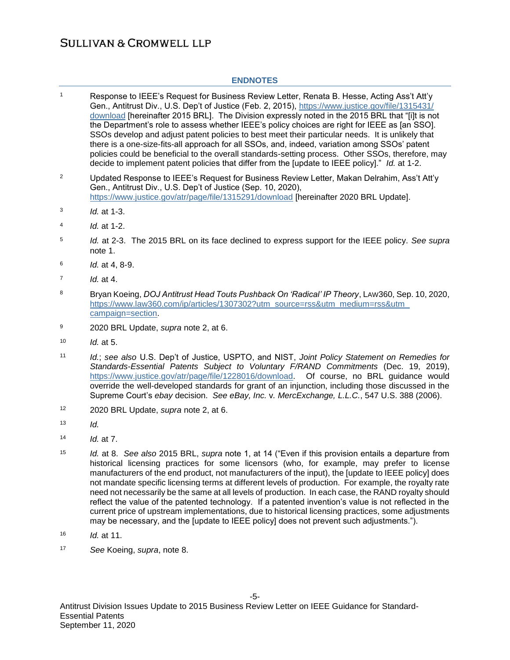#### **ENDNOTES**

| $\mathbf{1}$   | Response to IEEE's Request for Business Review Letter, Renata B. Hesse, Acting Ass't Att'y<br>Gen., Antitrust Div., U.S. Dep't of Justice (Feb. 2, 2015), https://www.justice.gov/file/1315431/<br>download [hereinafter 2015 BRL]. The Division expressly noted in the 2015 BRL that "[i]t is not<br>the Department's role to assess whether IEEE's policy choices are right for IEEE as [an SSO].<br>SSOs develop and adjust patent policies to best meet their particular needs. It is unlikely that<br>there is a one-size-fits-all approach for all SSOs, and, indeed, variation among SSOs' patent<br>policies could be beneficial to the overall standards-setting process. Other SSOs, therefore, may<br>decide to implement patent policies that differ from the [update to IEEE policy]." Id. at 1-2. |  |  |  |
|----------------|-----------------------------------------------------------------------------------------------------------------------------------------------------------------------------------------------------------------------------------------------------------------------------------------------------------------------------------------------------------------------------------------------------------------------------------------------------------------------------------------------------------------------------------------------------------------------------------------------------------------------------------------------------------------------------------------------------------------------------------------------------------------------------------------------------------------|--|--|--|
| $\overline{2}$ | Updated Response to IEEE's Request for Business Review Letter, Makan Delrahim, Ass't Att'y<br>Gen., Antitrust Div., U.S. Dep't of Justice (Sep. 10, 2020),<br>https://www.justice.gov/atr/page/file/1315291/download [hereinafter 2020 BRL Update].                                                                                                                                                                                                                                                                                                                                                                                                                                                                                                                                                             |  |  |  |
| 3              | Id. at 1-3.                                                                                                                                                                                                                                                                                                                                                                                                                                                                                                                                                                                                                                                                                                                                                                                                     |  |  |  |
| 4              | Id. at 1-2.                                                                                                                                                                                                                                                                                                                                                                                                                                                                                                                                                                                                                                                                                                                                                                                                     |  |  |  |
| 5              | Id. at 2-3. The 2015 BRL on its face declined to express support for the IEEE policy. See supra<br>note 1.                                                                                                                                                                                                                                                                                                                                                                                                                                                                                                                                                                                                                                                                                                      |  |  |  |
| 6              | Id. at 4, 8-9.                                                                                                                                                                                                                                                                                                                                                                                                                                                                                                                                                                                                                                                                                                                                                                                                  |  |  |  |
| $\overline{7}$ | Id. at 4.                                                                                                                                                                                                                                                                                                                                                                                                                                                                                                                                                                                                                                                                                                                                                                                                       |  |  |  |
| 8              | Bryan Koeing, DOJ Antitrust Head Touts Pushback On 'Radical' IP Theory, LAW360, Sep. 10, 2020,<br>https://www.law360.com/ip/articles/1307302?utm_source=rss&utm_medium=rss&utm<br>campaign=section.                                                                                                                                                                                                                                                                                                                                                                                                                                                                                                                                                                                                             |  |  |  |
| 9              | 2020 BRL Update, supra note 2, at 6.                                                                                                                                                                                                                                                                                                                                                                                                                                                                                                                                                                                                                                                                                                                                                                            |  |  |  |
| 10             | Id. at 5.                                                                                                                                                                                                                                                                                                                                                                                                                                                                                                                                                                                                                                                                                                                                                                                                       |  |  |  |
| 11             | Id.; see also U.S. Dep't of Justice, USPTO, and NIST, Joint Policy Statement on Remedies for<br>Standards-Essential Patents Subject to Voluntary F/RAND Commitments (Dec. 19, 2019),<br>https://www.justice.gov/atr/page/file/1228016/download. Of course, no BRL guidance would<br>override the well-developed standards for grant of an injunction, including those discussed in the<br>Supreme Court's ebay decision. See eBay, Inc. v. MercExchange, L.L.C., 547 U.S. 388 (2006).                                                                                                                                                                                                                                                                                                                           |  |  |  |
| 12             | 2020 BRL Update, supra note 2, at 6.                                                                                                                                                                                                                                                                                                                                                                                                                                                                                                                                                                                                                                                                                                                                                                            |  |  |  |
| 13             | Id.                                                                                                                                                                                                                                                                                                                                                                                                                                                                                                                                                                                                                                                                                                                                                                                                             |  |  |  |
| 14             | Id. at 7.                                                                                                                                                                                                                                                                                                                                                                                                                                                                                                                                                                                                                                                                                                                                                                                                       |  |  |  |
| 15             | Id. at 8. See also 2015 BRL, supra note 1, at 14 ("Even if this provision entails a departure from<br>historical licensing practices for some licensors (who, for example, may prefer to license<br>manufacturers of the end product, not manufacturers of the input), the [update to IEEE policy] does<br>not mandate specific licensing terms at different levels of production. For example, the royalty rate<br>need not necessarily be the same at all levels of production. In each case, the RAND royalty should                                                                                                                                                                                                                                                                                         |  |  |  |

current price of upstream implementations, due to historical licensing practices, some adjustments may be necessary, and the [update to IEEE policy] does not prevent such adjustments.").

reflect the value of the patented technology. If a patented invention's value is not reflected in the

- <sup>16</sup> *Id.* at 11.
- <sup>17</sup> *See* Koeing, *supra*, note 8.